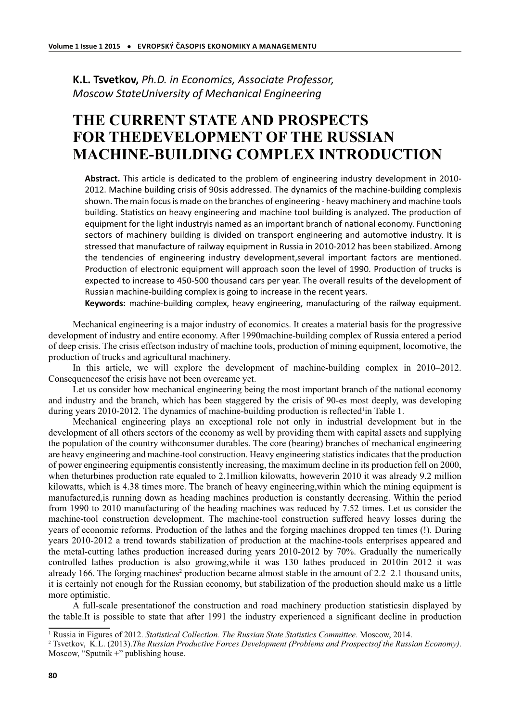**K.L. Tsvetkov,** *Ph.D. in Economics, Associate Professor, Moscow StateUniversity of Mechanical Engineering*

## **THE CURRENT STATE AND PROSPECTS FOR THEDEVELOPMENT OF THE RUSSIAN MACHINE-BUILDING COMPLEX INTRODUCTION**

Abstract. This article is dedicated to the problem of engineering industry development in 2010-2012. Machine building crisis of 90sis addressed. The dynamics of the machine-building complexis shown. The main focus is made on the branches of engineering - heavy machinery and machine tools building. Statistics on heavy engineering and machine tool building is analyzed. The production of equipment for the light industryis named as an important branch of national economy. Functioning sectors of machinery building is divided on transport engineering and automotive industry. It is stressed that manufacture of railway equipment in Russia in 2010-2012 has been stabilized. Among the tendencies of engineering industry development, several important factors are mentioned. Production of electronic equipment will approach soon the level of 1990. Production of trucks is expected to increase to 450-500 thousand cars per year. The overall results of the development of Russian machine-building complex is going to increase in the recent years.

**Keywords:** machine-building complex, heavy engineering, manufacturing of the railway equipment.

Mechanical engineering is a major industry of economics. It creates a material basis for the progressive development of industry and entire economy. After 1990machine-building complex of Russia entered a period of deep crisis. The crisis effectson industry of machine tools, production of mining equipment, locomotive, the production of trucks and agricultural machinery.

In this article, we will explore the development of machine-building complex in 2010–2012. Consequencesof the crisis have not been overcame yet.

Let us consider how mechanical engineering being the most important branch of the national economy and industry and the branch, which has been staggered by the crisis of 90-es most deeply, was developing during years 2010-2012. The dynamics of machine-building production is reflected<sup>1</sup>in Table 1.

Mechanical engineering plays an exceptional role not only in industrial development but in the development of all others sectors of the economy as well by providing them with capital assets and supplying the population of the country withconsumer durables. The core (bearing) branches of mechanical engineering are heavy engineering and machine-tool construction. Heavy engineering statistics indicates that the production of power engineering equipmentis consistently increasing, the maximum decline in its production fell on 2000, when the turbines production rate equaled to 2.1 million kilowatts, howeverin 2010 it was already 9.2 million kilowatts, which is 4.38 times more. The branch of heavy engineering,within which the mining equipment is manufactured,is running down as heading machines production is constantly decreasing. Within the period from 1990 to 2010 manufacturing of the heading machines was reduced by 7.52 times. Let us consider the machine-tool construction development. The machine-tool construction suffered heavy losses during the years of economic reforms. Production of the lathes and the forging machines dropped ten times (!). During years 2010-2012 a trend towards stabilization of production at the machine-tools enterprises appeared and the metal-cutting lathes production increased during years 2010-2012 by 70%. Gradually the numerically controlled lathes production is also growing,while it was 130 lathes produced in 2010in 2012 it was already 166. The forging machines<sup>2</sup> production became almost stable in the amount of 2.2–2.1 thousand units, it is certainly not enough for the Russian economy, but stabilization of the production should make us a little more optimistic.

A full-scale presentationof the construction and road machinery production statisticsin displayed by the table.It is possible to state that after 1991 the industry experienced a significant decline in production

<sup>1</sup> Russia in Figures of 2012. *Statistical Collection. The Russian State Statistics Committee.* Moscow, 2014.

<sup>2</sup> Tsvetkov, K.L. (2013).*The Russian Productive Forces Development (Problems and Prospectsof the Russian Economy)*. Moscow, "Sputnik +" publishing house.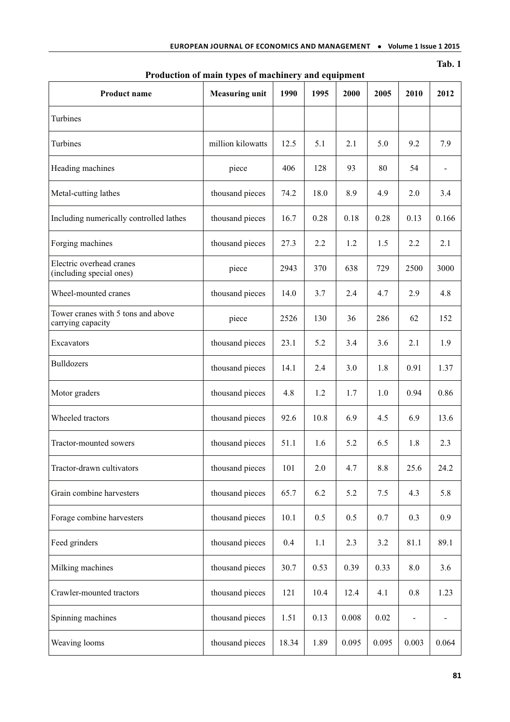| Product name                                            | ັ_<br><b>Measuring unit</b> | 1990  | 1995 | 2000  | 2005  | 2010    | 2012  |
|---------------------------------------------------------|-----------------------------|-------|------|-------|-------|---------|-------|
| Turbines                                                |                             |       |      |       |       |         |       |
| Turbines                                                | million kilowatts           | 12.5  | 5.1  | 2.1   | 5.0   | 9.2     | 7.9   |
| Heading machines                                        | piece                       | 406   | 128  | 93    | 80    | 54      | ۰     |
| Metal-cutting lathes                                    | thousand pieces             | 74.2  | 18.0 | 8.9   | 4.9   | 2.0     | 3.4   |
| Including numerically controlled lathes                 | thousand pieces             | 16.7  | 0.28 | 0.18  | 0.28  | 0.13    | 0.166 |
| Forging machines                                        | thousand pieces             | 27.3  | 2.2  | 1.2   | 1.5   | 2.2     | 2.1   |
| Electric overhead cranes<br>(including special ones)    | piece                       | 2943  | 370  | 638   | 729   | 2500    | 3000  |
| Wheel-mounted cranes                                    | thousand pieces             | 14.0  | 3.7  | 2.4   | 4.7   | 2.9     | 4.8   |
| Tower cranes with 5 tons and above<br>carrying capacity | piece                       | 2526  | 130  | 36    | 286   | 62      | 152   |
| Excavators                                              | thousand pieces             | 23.1  | 5.2  | 3.4   | 3.6   | 2.1     | 1.9   |
| <b>Bulldozers</b>                                       | thousand pieces             | 14.1  | 2.4  | 3.0   | 1.8   | 0.91    | 1.37  |
| Motor graders                                           | thousand pieces             | 4.8   | 1.2  | 1.7   | 1.0   | 0.94    | 0.86  |
| Wheeled tractors                                        | thousand pieces             | 92.6  | 10.8 | 6.9   | 4.5   | 6.9     | 13.6  |
| Tractor-mounted sowers                                  | thousand pieces             | 51.1  | 1.6  | 5.2   | 6.5   | 1.8     | 2.3   |
| Tractor-drawn cultivators                               | thousand pieces             | 101   | 2.0  | 4.7   | 8.8   | 25.6    | 24.2  |
| Grain combine harvesters                                | thousand pieces             | 65.7  | 6.2  | 5.2   | 7.5   | 4.3     | 5.8   |
| Forage combine harvesters                               | thousand pieces             | 10.1  | 0.5  | 0.5   | 0.7   | 0.3     | 0.9   |
| Feed grinders                                           | thousand pieces             | 0.4   | 1.1  | 2.3   | 3.2   | 81.1    | 89.1  |
| Milking machines                                        | thousand pieces             | 30.7  | 0.53 | 0.39  | 0.33  | $8.0\,$ | 3.6   |
| Crawler-mounted tractors                                | thousand pieces             | 121   | 10.4 | 12.4  | 4.1   | 0.8     | 1.23  |
| Spinning machines                                       | thousand pieces             | 1.51  | 0.13 | 0.008 | 0.02  |         |       |
| Weaving looms                                           | thousand pieces             | 18.34 | 1.89 | 0.095 | 0.095 | 0.003   | 0.064 |

## **Production of main types of machinery and equipment**

**Tab. 1**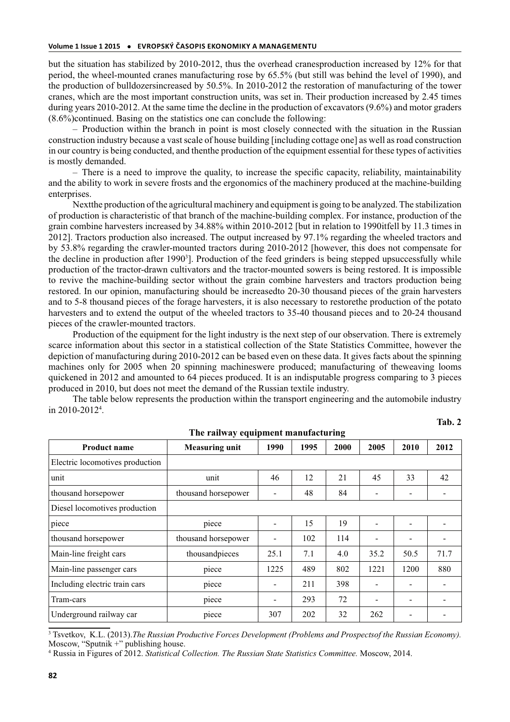but the situation has stabilized by 2010-2012, thus the overhead cranesproduction increased by 12% for that period, the wheel-mounted cranes manufacturing rose by 65.5% (but still was behind the level of 1990), and the production of bulldozersincreased by 50.5%. In 2010-2012 the restoration of manufacturing of the tower cranes, which are the most important construction units, was set in. Their production increased by 2.45 times during years 2010-2012. At the same time the decline in the production of excavators (9.6%) and motor graders (8.6%)continued. Basing on the statistics one can conclude the following:

– Production within the branch in point is most closely connected with the situation in the Russian construction industry because a vast scale of house building [including cottage one] as well as road construction in our country is being conducted, and thenthe production of the equipment essential for these types of activities is mostly demanded.

– There is a need to improve the quality, to increase the specific capacity, reliability, maintainability and the ability to work in severe frosts and the ergonomics of the machinery produced at the machine-building enterprises.

Nextthe production of the agricultural machinery and equipment is going to be analyzed. The stabilization of production is characteristic of that branch of the machine-building complex. For instance, production of the grain combine harvesters increased by 34.88% within 2010-2012 [but in relation to 1990itfell by 11.3 times in 2012]. Tractors production also increased. The output increased by 97.1% regarding the wheeled tractors and by 53.8% regarding the crawler-mounted tractors during 2010-2012 [however, this does not compensate for the decline in production after 1990<sup>3</sup>]. Production of the feed grinders is being stepped upsuccessfully while production of the tractor-drawn cultivators and the tractor-mounted sowers is being restored. It is impossible to revive the machine-building sector without the grain combine harvesters and tractors production being restored. In our opinion, manufacturing should be increasedto 20-30 thousand pieces of the grain harvesters and to 5-8 thousand pieces of the forage harvesters, it is also necessary to restorethe production of the potato harvesters and to extend the output of the wheeled tractors to 35-40 thousand pieces and to 20-24 thousand pieces of the crawler-mounted tractors.

Production of the equipment for the light industry is the next step of our observation. There is extremely scarce information about this sector in a statistical collection of the State Statistics Committee, however the depiction of manufacturing during 2010-2012 can be based even on these data. It gives facts about the spinning machines only for 2005 when 20 spinning machineswere produced; manufacturing of theweaving looms quickened in 2012 and amounted to 64 pieces produced. It is an indisputable progress comparing to 3 pieces produced in 2010, but does not meet the demand of the Russian textile industry.

The table below represents the production within the transport engineering and the automobile industry in 2010-2012<sup>4</sup> .

| The railway equipment manufacturing |                       |                          |      |      |                              |                          |                              |  |
|-------------------------------------|-----------------------|--------------------------|------|------|------------------------------|--------------------------|------------------------------|--|
| <b>Product name</b>                 | <b>Measuring unit</b> | 1990                     | 1995 | 2000 | 2005                         | 2010                     | 2012                         |  |
| Electric locomotives production     |                       |                          |      |      |                              |                          |                              |  |
| unit                                | unit                  | 46                       | 12   | 21   | 45                           | 33                       | 42                           |  |
| thousand horsepower                 | thousand horsepower   | $\overline{\phantom{a}}$ | 48   | 84   | $\qquad \qquad \blacksquare$ | $\overline{\phantom{a}}$ | $\qquad \qquad \blacksquare$ |  |
| Diesel locomotives production       |                       |                          |      |      |                              |                          |                              |  |
| piece                               | piece                 |                          | 15   | 19   |                              | $\overline{\phantom{0}}$ |                              |  |
| thousand horsepower                 | thousand horsepower   |                          | 102  | 114  |                              | $\overline{\phantom{0}}$ |                              |  |
| Main-line freight cars              | thousandpieces        | 25.1                     | 7.1  | 4.0  | 35.2                         | 50.5                     | 71.7                         |  |
| Main-line passenger cars            | piece                 | 1225                     | 489  | 802  | 1221                         | 1200                     | 880                          |  |
| Including electric train cars       | piece                 |                          | 211  | 398  |                              |                          |                              |  |
| Tram-cars                           | piece                 |                          | 293  | 72   | $\overline{\phantom{0}}$     | $\blacksquare$           | $\qquad \qquad \blacksquare$ |  |
| Underground railway car             | piece                 | 307                      | 202  | 32   | 262                          | $\overline{\phantom{0}}$ |                              |  |

**Tab. 2**

<sup>3</sup> Tsvetkov, K.L. (2013).*The Russian Productive Forces Development (Problems and Prospectsof the Russian Economy).* Moscow, "Sputnik +" publishing house.

4 Russia in Figures of 2012. *Statistical Collection. The Russian State Statistics Committee.* Moscow, 2014.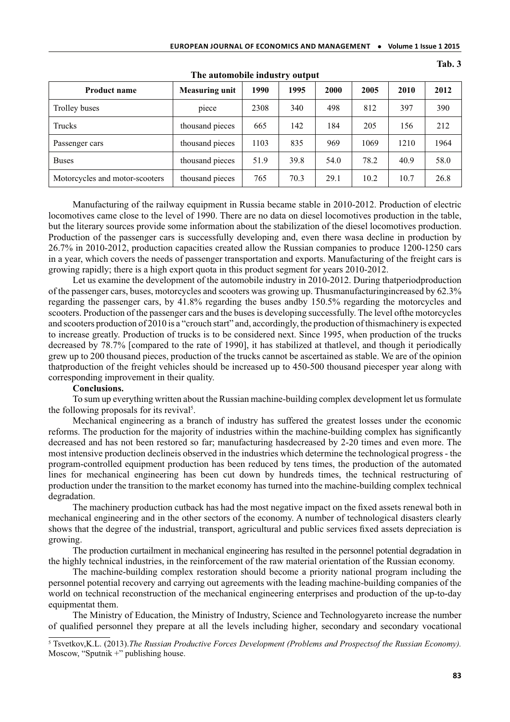| <b>Product name</b>            | <b>Measuring unit</b> | 1990 | 1995 | 2000 | 2005 | 2010 | 2012 |  |
|--------------------------------|-----------------------|------|------|------|------|------|------|--|
| Trolley buses                  | piece                 | 2308 | 340  | 498  | 812  | 397  | 390  |  |
| Trucks                         | thousand pieces       | 665  | 142  | 184  | 205  | 156  | 212  |  |
| Passenger cars                 | thousand pieces       | 1103 | 835  | 969  | 1069 | 1210 | 1964 |  |
| <b>Buses</b>                   | thousand pieces       | 51.9 | 39.8 | 54.0 | 78.2 | 40.9 | 58.0 |  |
| Motorcycles and motor-scooters | thousand pieces       | 765  | 70.3 | 29.1 | 10.2 | 10.7 | 26.8 |  |

**The automobile industry output**

**Tab. 3**

Manufacturing of the railway equipment in Russia became stable in 2010-2012. Production of electric locomotives came close to the level of 1990. There are no data on diesel locomotives production in the table, but the literary sources provide some information about the stabilization of the diesel locomotives production. Production of the passenger cars is successfully developing and, even there wasa decline in production by 26.7% in 2010-2012, production capacities created allow the Russian companies to produce 1200-1250 cars in a year, which covers the needs of passenger transportation and exports. Manufacturing of the freight cars is growing rapidly; there is a high export quota in this product segment for years 2010-2012.

Let us examine the development of the automobile industry in 2010-2012. During thatperiodproduction of the passenger cars, buses, motorcycles and scooters was growing up. Thusmanufacturingincreased by 62.3% regarding the passenger cars, by 41.8% regarding the buses andby 150.5% regarding the motorcycles and scooters. Production of the passenger cars and the buses is developing successfully. The level ofthe motorcycles and scooters production of 2010 is a "crouch start" and, accordingly, the production of thismachinery is expected to increase greatly. Production of trucks is to be considered next. Since 1995, when production of the trucks decreased by 78.7% [compared to the rate of 1990], it has stabilized at thatlevel, and though it periodically grew up to 200 thousand pieces, production of the trucks cannot be ascertained as stable. We are of the opinion thatproduction of the freight vehicles should be increased up to 450-500 thousand piecesper year along with corresponding improvement in their quality.

## **Сonclusions.**

To sum up everything written about the Russian machine-building complex development let us formulate the following proposals for its revival<sup>5</sup>.

Mechanical engineering as a branch of industry has suffered the greatest losses under the economic reforms. The production for the majority of industries within the machine-building complex has significantly decreased and has not been restored so far; manufacturing hasdecreased by 2-20 times and even more. The most intensive production declineis observed in the industries which determine the technological progress - the program-controlled equipment production has been reduced by tens times, the production of the automated lines for mechanical engineering has been cut down by hundreds times, the technical restructuring of production under the transition to the market economy has turned into the machine-building complex technical degradation.

The machinery production cutback has had the most negative impact on the fixed assets renewal both in mechanical engineering and in the other sectors of the economy. A number of technological disasters clearly shows that the degree of the industrial, transport, agricultural and public services fixed assets depreciation is growing.

The production curtailment in mechanical engineering has resulted in the personnel potential degradation in the highly technical industries, in the reinforcement of the raw material orientation of the Russian economy.

The machine-building complex restoration should become a priority national program including the personnel potential recovery and carrying out agreements with the leading machine-building companies of the world on technical reconstruction of the mechanical engineering enterprises and production of the up-to-day equipmentat them.

The Ministry of Education, the Ministry of Industry, Science and Technologyareto increase the number of qualified personnel they prepare at all the levels including higher, secondary and secondary vocational

<sup>5</sup> Tsvetkov,K.L. (2013).*The Russian Productive Forces Development (Problems and Prospectsof the Russian Economy).*  Moscow, "Sputnik +" publishing house.